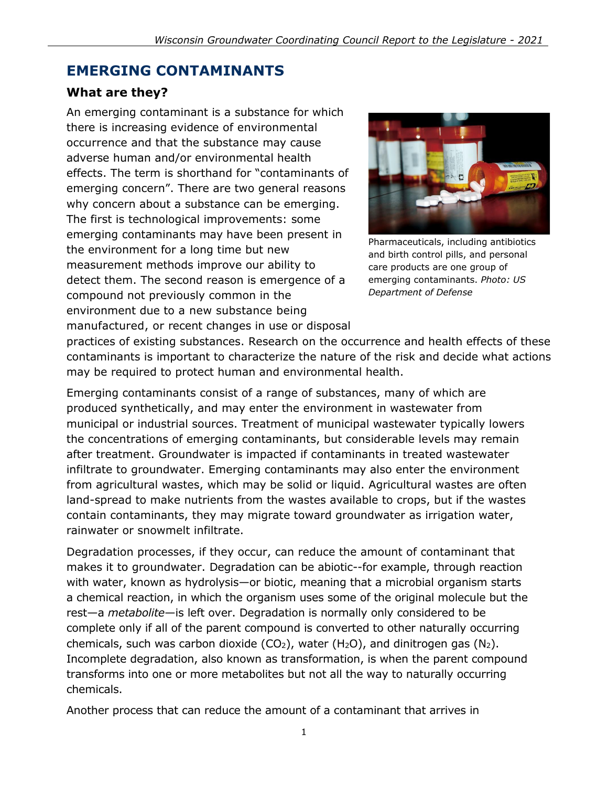# **EMERGING CONTAMINANTS**

### **What are they?**

An emerging contaminant is a substance for which there is increasing evidence of environmental occurrence and that the substance may cause adverse human and/or environmental health effects. The term is shorthand for "contaminants of emerging concern". There are two general reasons why concern about a substance can be emerging. The first is technological improvements: some emerging contaminants may have been present in the environment for a long time but new measurement methods improve our ability to detect them. The second reason is emergence of a compound not previously common in the environment due to a new substance being manufactured, or recent changes in use or disposal



Pharmaceuticals, including antibiotics and birth control pills, and personal care products are one group of emerging contaminants. *Photo: US Department of Defense*

practices of existing substances. Research on the occurrence and health effects of these contaminants is important to characterize the nature of the risk and decide what actions may be required to protect human and environmental health.

Emerging contaminants consist of a range of substances, many of which are produced synthetically, and may enter the environment in wastewater from municipal or industrial sources. Treatment of municipal wastewater typically lowers the concentrations of emerging contaminants, but considerable levels may remain after treatment. Groundwater is impacted if contaminants in treated wastewater infiltrate to groundwater. Emerging contaminants may also enter the environment from agricultural wastes, which may be solid or liquid. Agricultural wastes are often land-spread to make nutrients from the wastes available to crops, but if the wastes contain contaminants, they may migrate toward groundwater as irrigation water, rainwater or snowmelt infiltrate.

Degradation processes, if they occur, can reduce the amount of contaminant that makes it to groundwater. Degradation can be abiotic--for example, through reaction with water, known as hydrolysis—or biotic, meaning that a microbial organism starts a chemical reaction, in which the organism uses some of the original molecule but the rest—a *metabolite*—is left over. Degradation is normally only considered to be complete only if all of the parent compound is converted to other naturally occurring chemicals, such was carbon dioxide (CO<sub>2</sub>), water (H<sub>2</sub>O), and dinitrogen gas (N<sub>2</sub>). Incomplete degradation, also known as transformation, is when the parent compound transforms into one or more metabolites but not all the way to naturally occurring chemicals.

Another process that can reduce the amount of a contaminant that arrives in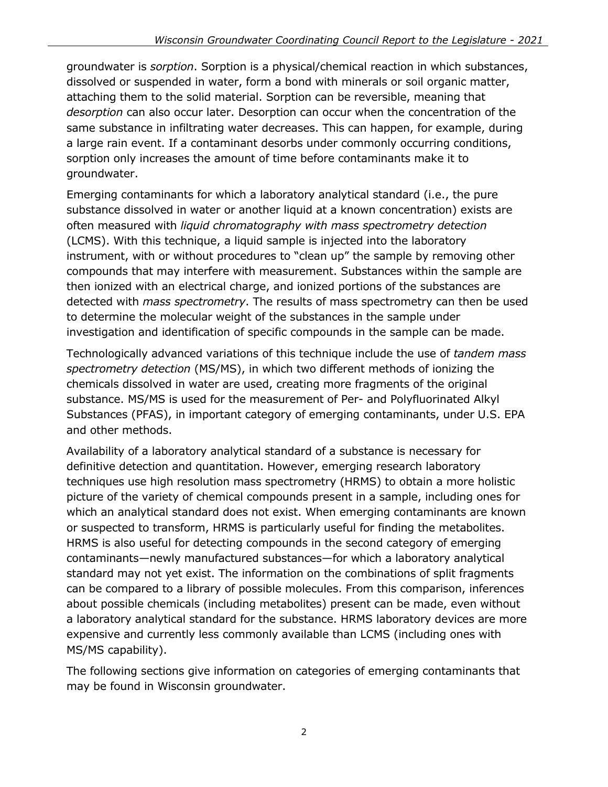groundwater is *sorption*. Sorption is a physical/chemical reaction in which substances, dissolved or suspended in water, form a bond with minerals or soil organic matter, attaching them to the solid material. Sorption can be reversible, meaning that *desorption* can also occur later. Desorption can occur when the concentration of the same substance in infiltrating water decreases. This can happen, for example, during a large rain event. If a contaminant desorbs under commonly occurring conditions, sorption only increases the amount of time before contaminants make it to groundwater.

Emerging contaminants for which a laboratory analytical standard (i.e., the pure substance dissolved in water or another liquid at a known concentration) exists are often measured with *liquid chromatography with mass spectrometry detection* (LCMS). With this technique, a liquid sample is injected into the laboratory instrument, with or without procedures to "clean up" the sample by removing other compounds that may interfere with measurement. Substances within the sample are then ionized with an electrical charge, and ionized portions of the substances are detected with *mass spectrometry*. The results of mass spectrometry can then be used to determine the molecular weight of the substances in the sample under investigation and identification of specific compounds in the sample can be made.

Technologically advanced variations of this technique include the use of *tandem mass spectrometry detection* (MS/MS), in which two different methods of ionizing the chemicals dissolved in water are used, creating more fragments of the original substance. MS/MS is used for the measurement of Per- and Polyfluorinated Alkyl Substances (PFAS), in important category of emerging contaminants, under U.S. EPA and other methods.

Availability of a laboratory analytical standard of a substance is necessary for definitive detection and quantitation. However, emerging research laboratory techniques use high resolution mass spectrometry (HRMS) to obtain a more holistic picture of the variety of chemical compounds present in a sample, including ones for which an analytical standard does not exist. When emerging contaminants are known or suspected to transform, HRMS is particularly useful for finding the metabolites. HRMS is also useful for detecting compounds in the second category of emerging contaminants—newly manufactured substances—for which a laboratory analytical standard may not yet exist. The information on the combinations of split fragments can be compared to a library of possible molecules. From this comparison, inferences about possible chemicals (including metabolites) present can be made, even without a laboratory analytical standard for the substance. HRMS laboratory devices are more expensive and currently less commonly available than LCMS (including ones with MS/MS capability).

The following sections give information on categories of emerging contaminants that may be found in Wisconsin groundwater.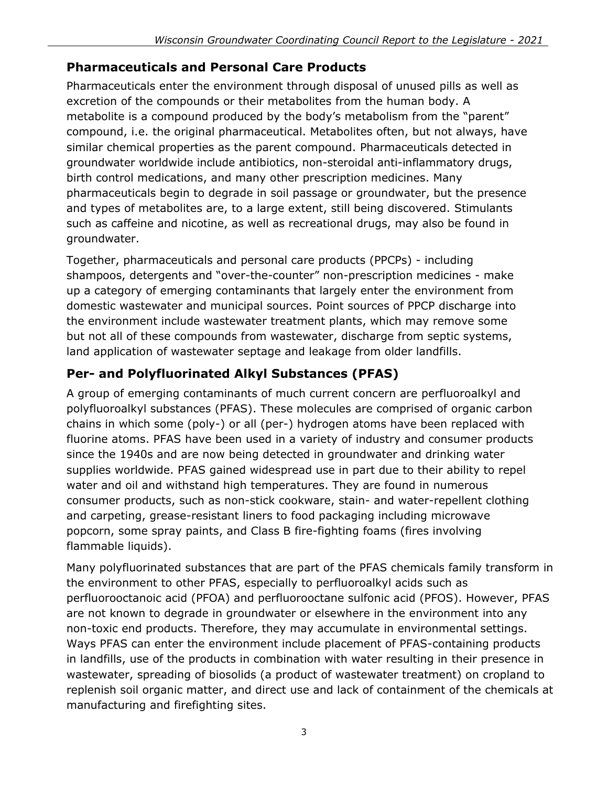### **Pharmaceuticals and Personal Care Products**

Pharmaceuticals enter the environment through disposal of unused pills as well as excretion of the compounds or their metabolites from the human body. A metabolite is a compound produced by the body's metabolism from the "parent" compound, i.e. the original pharmaceutical. Metabolites often, but not always, have similar chemical properties as the parent compound. Pharmaceuticals detected in groundwater worldwide include antibiotics, non-steroidal anti-inflammatory drugs, birth control medications, and many other prescription medicines. Many pharmaceuticals begin to degrade in soil passage or groundwater, but the presence and types of metabolites are, to a large extent, still being discovered. Stimulants such as caffeine and nicotine, as well as recreational drugs, may also be found in groundwater.

Together, pharmaceuticals and personal care products (PPCPs) - including shampoos, detergents and "over-the-counter" non-prescription medicines - make up a category of emerging contaminants that largely enter the environment from domestic wastewater and municipal sources. Point sources of PPCP discharge into the environment include wastewater treatment plants, which may remove some but not all of these compounds from wastewater, discharge from septic systems, land application of wastewater septage and leakage from older landfills.

## **Per- and Polyfluorinated Alkyl Substances (PFAS)**

A group of emerging contaminants of much current concern are perfluoroalkyl and polyfluoroalkyl substances (PFAS). These molecules are comprised of organic carbon chains in which some (poly-) or all (per-) hydrogen atoms have been replaced with fluorine atoms. PFAS have been used in a variety of industry and consumer products since the 1940s and are now being detected in groundwater and drinking water supplies worldwide. PFAS gained widespread use in part due to their ability to repel water and oil and withstand high temperatures. They are found in numerous consumer products, such as non-stick cookware, stain- and water-repellent clothing and carpeting, grease-resistant liners to food packaging including microwave popcorn, some spray paints, and Class B fire-fighting foams (fires involving flammable liquids).

Many polyfluorinated substances that are part of the PFAS chemicals family transform in the environment to other PFAS, especially to perfluoroalkyl acids such as perfluorooctanoic acid (PFOA) and perfluorooctane sulfonic acid (PFOS). However, PFAS are not known to degrade in groundwater or elsewhere in the environment into any non-toxic end products. Therefore, they may accumulate in environmental settings. Ways PFAS can enter the environment include placement of PFAS-containing products in landfills, use of the products in combination with water resulting in their presence in wastewater, spreading of biosolids (a product of wastewater treatment) on cropland to replenish soil organic matter, and direct use and lack of containment of the chemicals at manufacturing and firefighting sites.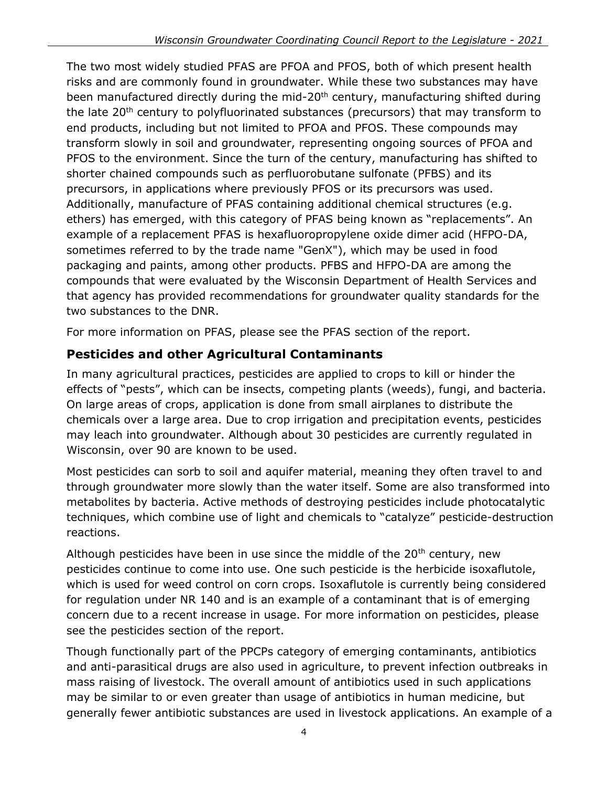The two most widely studied PFAS are PFOA and PFOS, both of which present health risks and are commonly found in groundwater. While these two substances may have been manufactured directly during the mid-20<sup>th</sup> century, manufacturing shifted during the late 20<sup>th</sup> century to polyfluorinated substances (precursors) that may transform to end products, including but not limited to PFOA and PFOS. These compounds may transform slowly in soil and groundwater, representing ongoing sources of PFOA and PFOS to the environment. Since the turn of the century, manufacturing has shifted to shorter chained compounds such as perfluorobutane sulfonate (PFBS) and its precursors, in applications where previously PFOS or its precursors was used. Additionally, manufacture of PFAS containing additional chemical structures (e.g. ethers) has emerged, with this category of PFAS being known as "replacements". An example of a replacement PFAS is hexafluoropropylene oxide dimer acid (HFPO-DA, sometimes referred to by the trade name "GenX"), which may be used in food packaging and paints, among other products. PFBS and HFPO-DA are among the compounds that were evaluated by the Wisconsin Department of Health Services and that agency has provided recommendations for groundwater quality standards for the two substances to the DNR.

For more information on PFAS, please see the PFAS section of the report.

## **Pesticides and other Agricultural Contaminants**

In many agricultural practices, pesticides are applied to crops to kill or hinder the effects of "pests", which can be insects, competing plants (weeds), fungi, and bacteria. On large areas of crops, application is done from small airplanes to distribute the chemicals over a large area. Due to crop irrigation and precipitation events, pesticides may leach into groundwater. Although about 30 pesticides are currently regulated in Wisconsin, over 90 are known to be used.

Most pesticides can sorb to soil and aquifer material, meaning they often travel to and through groundwater more slowly than the water itself. Some are also transformed into metabolites by bacteria. Active methods of destroying pesticides include photocatalytic techniques, which combine use of light and chemicals to "catalyze" pesticide-destruction reactions.

Although pesticides have been in use since the middle of the  $20<sup>th</sup>$  century, new pesticides continue to come into use. One such pesticide is the herbicide isoxaflutole, which is used for weed control on corn crops. Isoxaflutole is currently being considered for regulation under NR 140 and is an example of a contaminant that is of emerging concern due to a recent increase in usage. For more information on pesticides, please see the pesticides section of the report.

Though functionally part of the PPCPs category of emerging contaminants, antibiotics and anti-parasitical drugs are also used in agriculture, to prevent infection outbreaks in mass raising of livestock. The overall amount of antibiotics used in such applications may be similar to or even greater than usage of antibiotics in human medicine, but generally fewer antibiotic substances are used in livestock applications. An example of a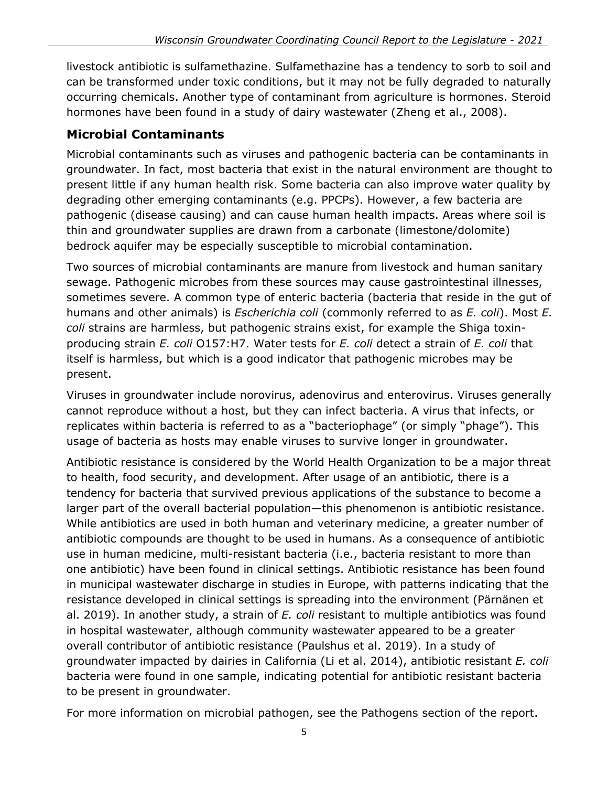livestock antibiotic is sulfamethazine. Sulfamethazine has a tendency to sorb to soil and can be transformed under toxic conditions, but it may not be fully degraded to naturally occurring chemicals. Another type of contaminant from agriculture is hormones. Steroid hormones have been found in a study of dairy wastewater (Zheng et al., 2008).

### **Microbial Contaminants**

Microbial contaminants such as viruses and pathogenic bacteria can be contaminants in groundwater. In fact, most bacteria that exist in the natural environment are thought to present little if any human health risk. Some bacteria can also improve water quality by degrading other emerging contaminants (e.g. PPCPs). However, a few bacteria are pathogenic (disease causing) and can cause human health impacts. Areas where soil is thin and groundwater supplies are drawn from a carbonate (limestone/dolomite) bedrock aquifer may be especially susceptible to microbial contamination.

Two sources of microbial contaminants are manure from livestock and human sanitary sewage. Pathogenic microbes from these sources may cause gastrointestinal illnesses, sometimes severe. A common type of enteric bacteria (bacteria that reside in the gut of humans and other animals) is *Escherichia coli* (commonly referred to as *E. coli*). Most *E. coli* strains are harmless, but pathogenic strains exist, for example the Shiga toxinproducing strain *E. coli* O157:H7. Water tests for *E. coli* detect a strain of *E. coli* that itself is harmless, but which is a good indicator that pathogenic microbes may be present.

Viruses in groundwater include norovirus, adenovirus and enterovirus. Viruses generally cannot reproduce without a host, but they can infect bacteria. A virus that infects, or replicates within bacteria is referred to as a "bacteriophage" (or simply "phage"). This usage of bacteria as hosts may enable viruses to survive longer in groundwater.

Antibiotic resistance is considered by the World Health Organization to be a major threat to health, food security, and development. After usage of an antibiotic, there is a tendency for bacteria that survived previous applications of the substance to become a larger part of the overall bacterial population—this phenomenon is antibiotic resistance. While antibiotics are used in both human and veterinary medicine, a greater number of antibiotic compounds are thought to be used in humans. As a consequence of antibiotic use in human medicine, multi-resistant bacteria (i.e., bacteria resistant to more than one antibiotic) have been found in clinical settings. Antibiotic resistance has been found in municipal wastewater discharge in studies in Europe, with patterns indicating that the resistance developed in clinical settings is spreading into the environment (Pärnänen et al. 2019). In another study, a strain of *E. coli* resistant to multiple antibiotics was found in hospital wastewater, although community wastewater appeared to be a greater overall contributor of antibiotic resistance (Paulshus et al. 2019). In a study of groundwater impacted by dairies in California (Li et al. 2014), antibiotic resistant *E. coli* bacteria were found in one sample, indicating potential for antibiotic resistant bacteria to be present in groundwater.

For more information on microbial pathogen, see the Pathogens section of the report.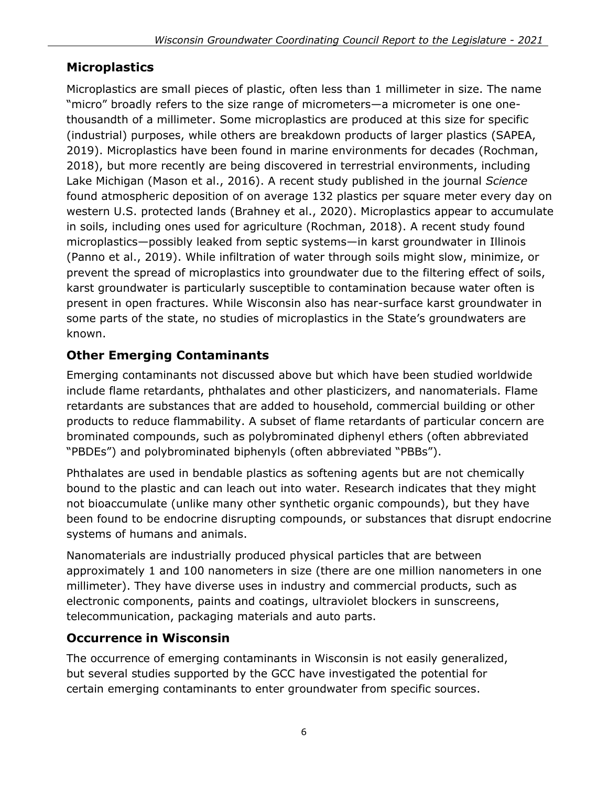# **Microplastics**

Microplastics are small pieces of plastic, often less than 1 millimeter in size. The name "micro" broadly refers to the size range of micrometers—a micrometer is one onethousandth of a millimeter. Some microplastics are produced at this size for specific (industrial) purposes, while others are breakdown products of larger plastics (SAPEA, 2019). Microplastics have been found in marine environments for decades (Rochman, 2018), but more recently are being discovered in terrestrial environments, including Lake Michigan (Mason et al., 2016). A recent study published in the journal *Science* found atmospheric deposition of on average 132 plastics per square meter every day on western U.S. protected lands (Brahney et al., 2020). Microplastics appear to accumulate in soils, including ones used for agriculture (Rochman, 2018). A recent study found microplastics—possibly leaked from septic systems—in karst groundwater in Illinois (Panno et al., 2019). While infiltration of water through soils might slow, minimize, or prevent the spread of microplastics into groundwater due to the filtering effect of soils, karst groundwater is particularly susceptible to contamination because water often is present in open fractures. While Wisconsin also has near-surface karst groundwater in some parts of the state, no studies of microplastics in the State's groundwaters are known.

# **Other Emerging Contaminants**

Emerging contaminants not discussed above but which have been studied worldwide include flame retardants, phthalates and other plasticizers, and nanomaterials. Flame retardants are substances that are added to household, commercial building or other products to reduce flammability. A subset of flame retardants of particular concern are brominated compounds, such as polybrominated diphenyl ethers (often abbreviated "PBDEs") and polybrominated biphenyls (often abbreviated "PBBs").

Phthalates are used in bendable plastics as softening agents but are not chemically bound to the plastic and can leach out into water. Research indicates that they might not bioaccumulate (unlike many other synthetic organic compounds), but they have been found to be endocrine disrupting compounds, or substances that disrupt endocrine systems of humans and animals.

Nanomaterials are industrially produced physical particles that are between approximately 1 and 100 nanometers in size (there are one million nanometers in one millimeter). They have diverse uses in industry and commercial products, such as electronic components, paints and coatings, ultraviolet blockers in sunscreens, telecommunication, packaging materials and auto parts.

## **Occurrence in Wisconsin**

The occurrence of emerging contaminants in Wisconsin is not easily generalized, but several studies supported by the GCC have investigated the potential for certain emerging contaminants to enter groundwater from specific sources.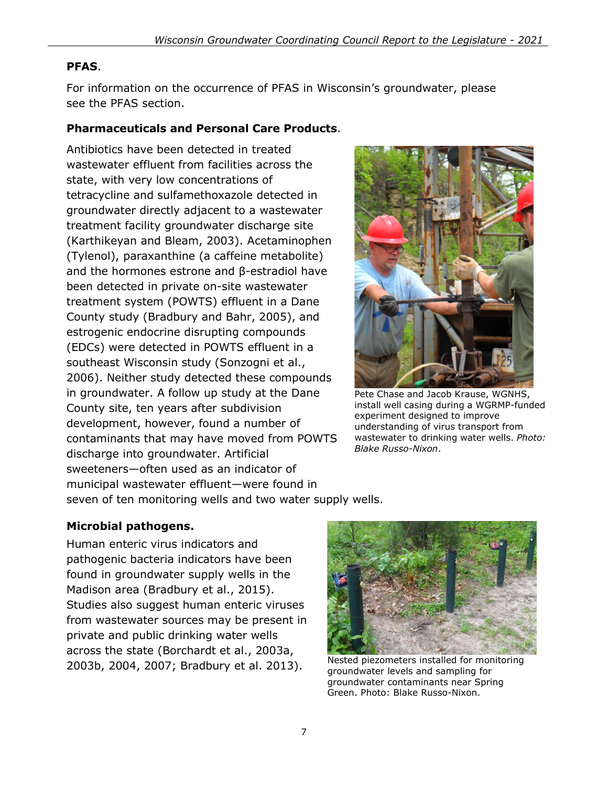#### **PFAS**.

For information on the occurrence of PFAS in Wisconsin's groundwater, please see the PFAS section.

#### **Pharmaceuticals and Personal Care Products**.

Antibiotics have been detected in treated wastewater effluent from facilities across the state, with very low concentrations of tetracycline and sulfamethoxazole detected in groundwater directly adjacent to a wastewater treatment facility groundwater discharge site (Karthikeyan and Bleam, 2003). Acetaminophen (Tylenol), paraxanthine (a caffeine metabolite) and the hormones estrone and β-estradiol have been detected in private on-site wastewater treatment system (POWTS) effluent in a Dane County study (Bradbury and Bahr, 2005), and estrogenic endocrine disrupting compounds (EDCs) were detected in POWTS effluent in a southeast Wisconsin study (Sonzogni et al., 2006). Neither study detected these compounds in groundwater. A follow up study at the Dane County site, ten years after subdivision development, however, found a number of contaminants that may have moved from POWTS discharge into groundwater. Artificial sweeteners—often used as an indicator of municipal wastewater effluent—were found in



Pete Chase and Jacob Krause, WGNHS, install well casing during a WGRMP-funded experiment designed to improve understanding of virus transport from wastewater to drinking water wells. *Photo: Blake Russo-Nixon*.

seven of ten monitoring wells and two water supply wells.

#### **Microbial pathogens.**

Human enteric virus indicators and pathogenic bacteria indicators have been found in groundwater supply wells in the Madison area (Bradbury et al., 2015). Studies also suggest human enteric viruses from wastewater sources may be present in private and public drinking water wells across the state (Borchardt et al., 2003a, 2003b, 2004, 2007; Bradbury et al. 2013).



Nested piezometers installed for monitoring groundwater levels and sampling for groundwater contaminants near Spring Green. Photo: Blake Russo-Nixon.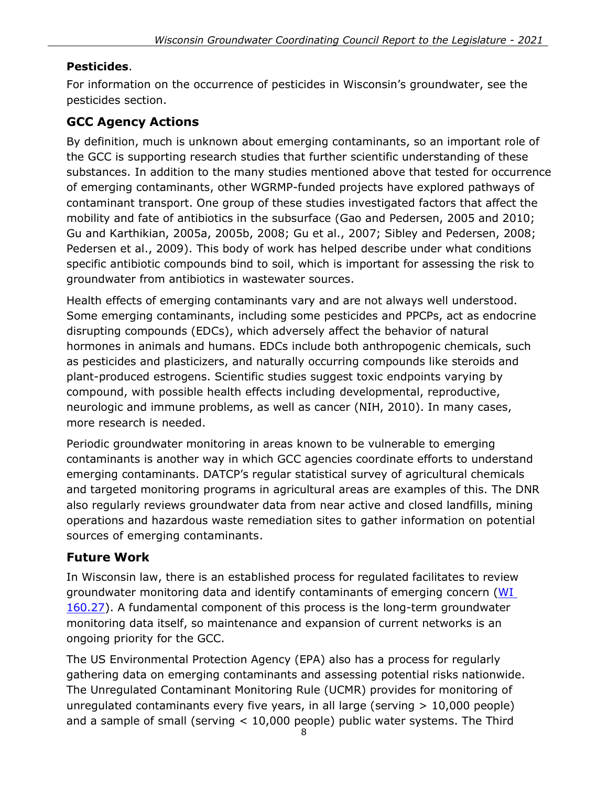### **Pesticides**.

For information on the occurrence of pesticides in Wisconsin's groundwater, see the pesticides section.

## **GCC Agency Actions**

By definition, much is unknown about emerging contaminants, so an important role of the GCC is supporting research studies that further scientific understanding of these substances. In addition to the many studies mentioned above that tested for occurrence of emerging contaminants, other WGRMP-funded projects have explored pathways of contaminant transport. One group of these studies investigated factors that affect the mobility and fate of antibiotics in the subsurface (Gao and Pedersen, 2005 and 2010; Gu and Karthikian, 2005a, 2005b, 2008; Gu et al., 2007; Sibley and Pedersen, 2008; Pedersen et al., 2009). This body of work has helped describe under what conditions specific antibiotic compounds bind to soil, which is important for assessing the risk to groundwater from antibiotics in wastewater sources.

Health effects of emerging contaminants vary and are not always well understood. Some emerging contaminants, including some pesticides and PPCPs, act as endocrine disrupting compounds (EDCs), which adversely affect the behavior of natural hormones in animals and humans. EDCs include both anthropogenic chemicals, such as pesticides and plasticizers, and naturally occurring compounds like steroids and plant-produced estrogens. Scientific studies suggest toxic endpoints varying by compound, with possible health effects including developmental, reproductive, neurologic and immune problems, as well as cancer (NIH, 2010). In many cases, more research is needed.

Periodic groundwater monitoring in areas known to be vulnerable to emerging contaminants is another way in which GCC agencies coordinate efforts to understand emerging contaminants. DATCP's regular statistical survey of agricultural chemicals and targeted monitoring programs in agricultural areas are examples of this. The DNR also regularly reviews groundwater data from near active and closed landfills, mining operations and hazardous waste remediation sites to gather information on potential sources of emerging contaminants.

### **Future Work**

In Wisconsin law, there is an established process for regulated facilitates to review groundwater monitoring data and identify contaminants of emerging concern (WI [160.27\)](http://docs.legis.wisconsin.gov/statutes/statutes/160/27). A fundamental component of this process is the long-term groundwater monitoring data itself, so maintenance and expansion of current networks is an ongoing priority for the GCC.

The US Environmental Protection Agency (EPA) also has a process for regularly gathering data on emerging contaminants and assessing potential risks nationwide. The Unregulated Contaminant Monitoring Rule (UCMR) provides for monitoring of unregulated contaminants every five years, in all large (serving > 10,000 people) and a sample of small (serving < 10,000 people) public water systems. The Third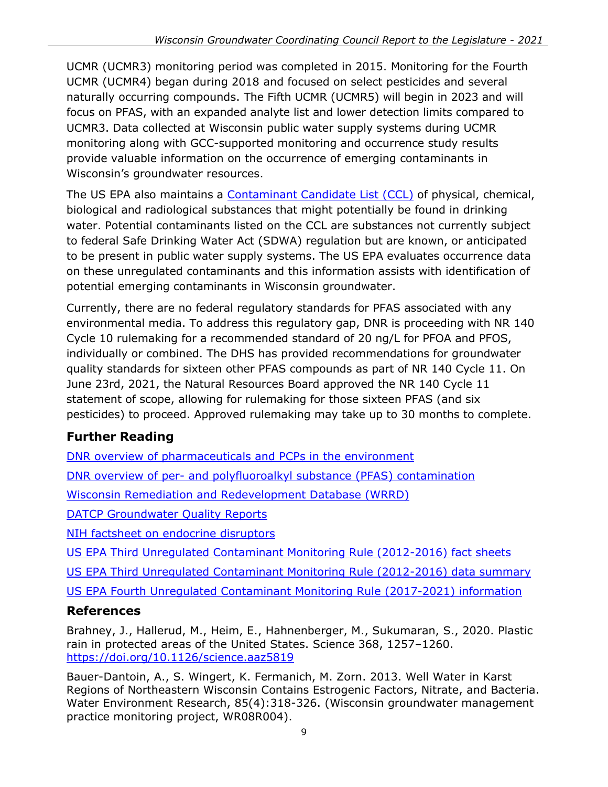UCMR (UCMR3) monitoring period was completed in 2015. Monitoring for the Fourth UCMR (UCMR4) began during 2018 and focused on select pesticides and several naturally occurring compounds. The Fifth UCMR (UCMR5) will begin in 2023 and will focus on PFAS, with an expanded analyte list and lower detection limits compared to UCMR3. Data collected at Wisconsin public water supply systems during UCMR monitoring along with GCC-supported monitoring and occurrence study results provide valuable information on the occurrence of emerging contaminants in Wisconsin's groundwater resources.

The US EPA also maintains a [Contaminant](https://www.epa.gov/ccl) Candidate List (CCL) of physical, chemical, biological and radiological substances that might potentially be found in drinking water. Potential contaminants listed on the CCL are substances not currently subject to federal Safe Drinking Water Act (SDWA) regulation but are known, or anticipated to be present in public water supply systems. The US EPA evaluates occurrence data on these unregulated contaminants and this information assists with identification of potential emerging contaminants in Wisconsin groundwater.

Currently, there are no federal regulatory standards for PFAS associated with any environmental media. To address this regulatory gap, DNR is proceeding with NR 140 Cycle 10 rulemaking for a recommended standard of 20 ng/L for PFOA and PFOS, individually or combined. The DHS has provided recommendations for groundwater quality standards for sixteen other PFAS compounds as part of NR 140 Cycle 11. On June 23rd, 2021, the Natural Resources Board approved the NR 140 Cycle 11 statement of scope, allowing for rulemaking for those sixteen PFAS (and six pesticides) to proceed. Approved rulemaking may take up to 30 months to complete.

## **Further Reading**

[DNR overview of pharmaceuticals and PCPs in the environment](https://dnr.wisconsin.gov/topic/HealthWaste/Pharm.html)

DNR overview of per- [and polyfluoroalkyl substance](https://dnr.wisconsin.gov/topic/PFAS/Impacts.html) (PFAS) contamination

[Wisconsin Remediation and Redevelopment Database \(WRRD\)](https://dnr.wisconsin.gov/topic/Brownfields/WRRD.html)

[DATCP Groundwater Quality Reports](https://datcp.wi.gov/Pages/Programs_Services/GroundwaterReports.aspx)

[NIH factsheet on endocrine disruptors](https://www.niehs.nih.gov/health/materials/endocrine_disruptors_508.pdf)

[US EPA Third Unregulated Contaminant Monitoring Rule \(2012-2016\) fact sheets](https://www.epa.gov/dwucmr/fact-sheets-about-third-unregulated-contaminant-monitoring-rule-ucmr-3)

[US EPA Third Unregulated Contaminant Monitoring Rule \(2012-2016\) data summary](https://www.epa.gov/dwucmr/data-summary-third-unregulated-contaminant-monitoring-rule)

[US EPA Fourth Unregulated Contaminant Monitoring Rule \(2017-2021\) information](https://www.epa.gov/dwucmr/fourth-unregulated-contaminant-monitoring-rule)

### **References**

Brahney, J., Hallerud, M., Heim, E., Hahnenberger, M., Sukumaran, S., 2020. Plastic rain in protected areas of the United States. Science 368, 1257–1260. <https://doi.org/10.1126/science.aaz5819>

Bauer-Dantoin, A., S. Wingert, K. Fermanich, M. Zorn. 2013. Well Water in Karst Regions of Northeastern Wisconsin Contains Estrogenic Factors, Nitrate, and Bacteria. Water Environment Research, 85(4):318-326. (Wisconsin groundwater management practice monitoring project, WR08R004).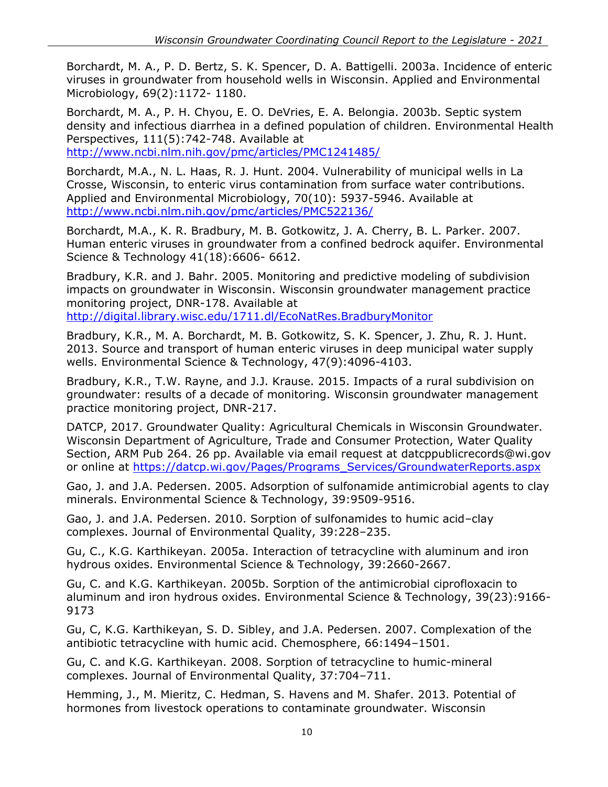Borchardt, M. A., P. D. Bertz, S. K. Spencer, D. A. Battigelli. 2003a. Incidence of enteric viruses in groundwater from household wells in Wisconsin. Applied and Environmental Microbiology, 69(2):1172- 1180.

Borchardt, M. A., P. H. Chyou, E. O. DeVries, E. A. Belongia. 2003b. Septic system density and infectious diarrhea in a defined population of children. Environmental Health Perspectives, 111(5):742-748. Available at

<http://www.ncbi.nlm.nih.gov/pmc/articles/PMC1241485/>

Borchardt, M.A., N. L. Haas, R. J. Hunt. 2004. Vulnerability of municipal wells in La Crosse, Wisconsin, to enteric virus contamination from surface water contributions. Applied and Environmental Microbiology, 70(10): 5937-5946. Available at <http://www.ncbi.nlm.nih.gov/pmc/articles/PMC522136/>

Borchardt, M.A., K. R. Bradbury, M. B. Gotkowitz, J. A. Cherry, B. L. Parker. 2007. Human enteric viruses in groundwater from a confined bedrock aquifer. Environmental Science & Technology 41(18):6606- 6612.

Bradbury, K.R. and J. Bahr. 2005. Monitoring and predictive modeling of subdivision impacts on groundwater in Wisconsin. Wisconsin groundwater management practice monitoring project, DNR-178. Available at <http://digital.library.wisc.edu/1711.dl/EcoNatRes.BradburyMonitor>

Bradbury, K.R., M. A. Borchardt, M. B. Gotkowitz, S. K. Spencer, J. Zhu, R. J. Hunt. 2013. Source and transport of human enteric viruses in deep municipal water supply wells. Environmental Science & Technology, 47(9):4096-4103.

Bradbury, K.R., T.W. Rayne, and J.J. Krause. 2015. Impacts of a rural subdivision on groundwater: results of a decade of monitoring. Wisconsin groundwater management practice monitoring project, DNR-217.

DATCP, 2017. Groundwater Quality: Agricultural Chemicals in Wisconsin Groundwater. Wisconsin Department of Agriculture, Trade and Consumer Protection, Water Quality Section, ARM Pub 264. 26 pp. Available via email request at [datcppublicrecords@wi.gov](mailto:datcppublicrecords@wi.gov)  or online at [https://datcp.wi.gov/Pages/Programs\\_Services/GroundwaterReports.aspx](https://datcp.wi.gov/Pages/Programs_Services/GroundwaterReports.aspx)

Gao, J. and J.A. Pedersen. 2005. Adsorption of sulfonamide antimicrobial agents to clay minerals. Environmental Science & Technology, 39:9509-9516.

Gao, J. and J.A. Pedersen. 2010. Sorption of sulfonamides to humic acid–clay complexes. Journal of Environmental Quality, 39:228–235.

Gu, C., K.G. Karthikeyan. 2005a. Interaction of tetracycline with aluminum and iron hydrous oxides. Environmental Science & Technology, 39:2660-2667.

Gu, C. and K.G. Karthikeyan. 2005b. Sorption of the antimicrobial ciprofloxacin to aluminum and iron hydrous oxides. Environmental Science & Technology, 39(23):9166- 9173

Gu, C, K.G. Karthikeyan, S. D. Sibley, and J.A. Pedersen. 2007. Complexation of the antibiotic tetracycline with humic acid. Chemosphere, 66:1494–1501.

Gu, C. and K.G. Karthikeyan. 2008. Sorption of tetracycline to humic-mineral complexes. Journal of Environmental Quality, 37:704–711.

Hemming, J., M. Mieritz, C. Hedman, S. Havens and M. Shafer. 2013. Potential of hormones from livestock operations to contaminate groundwater. Wisconsin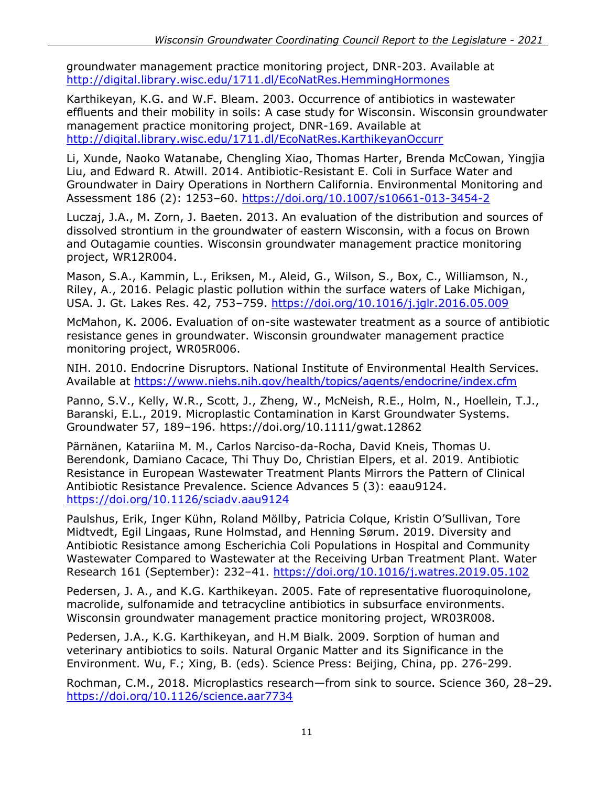groundwater management practice monitoring project, DNR-203. Available at <http://digital.library.wisc.edu/1711.dl/EcoNatRes.HemmingHormones>

Karthikeyan, K.G. and W.F. Bleam. 2003. Occurrence of antibiotics in wastewater effluents and their mobility in soils: A case study for Wisconsin. Wisconsin groundwater management practice monitoring project, DNR-169. Available at <http://digital.library.wisc.edu/1711.dl/EcoNatRes.KarthikeyanOccurr>

Li, Xunde, Naoko Watanabe, Chengling Xiao, Thomas Harter, Brenda McCowan, Yingjia Liu, and Edward R. Atwill. 2014. Antibiotic-Resistant E. Coli in Surface Water and Groundwater in Dairy Operations in Northern California. Environmental Monitoring and Assessment 186 (2): 1253–60.<https://doi.org/10.1007/s10661-013-3454-2>

Luczaj, J.A., M. Zorn, J. Baeten. 2013. An evaluation of the distribution and sources of dissolved strontium in the groundwater of eastern Wisconsin, with a focus on Brown and Outagamie counties. Wisconsin groundwater management practice monitoring project, WR12R004.

Mason, S.A., Kammin, L., Eriksen, M., Aleid, G., Wilson, S., Box, C., Williamson, N., Riley, A., 2016. Pelagic plastic pollution within the surface waters of Lake Michigan, USA. J. Gt. Lakes Res. 42, 753–759.<https://doi.org/10.1016/j.jglr.2016.05.009>

McMahon, K. 2006. Evaluation of on-site wastewater treatment as a source of antibiotic resistance genes in groundwater. Wisconsin groundwater management practice monitoring project, WR05R006.

NIH. 2010. Endocrine Disruptors. National Institute of Environmental Health Services. Available at <https://www.niehs.nih.gov/health/topics/agents/endocrine/index.cfm>

Panno, S.V., Kelly, W.R., Scott, J., Zheng, W., McNeish, R.E., Holm, N., Hoellein, T.J., Baranski, E.L., 2019. Microplastic Contamination in Karst Groundwater Systems. Groundwater 57, 189–196. https://doi.org/10.1111/gwat.12862

Pärnänen, Katariina M. M., Carlos Narciso-da-Rocha, David Kneis, Thomas U. Berendonk, Damiano Cacace, Thi Thuy Do, Christian Elpers, et al. 2019. Antibiotic Resistance in European Wastewater Treatment Plants Mirrors the Pattern of Clinical Antibiotic Resistance Prevalence. Science Advances 5 (3): eaau9124. <https://doi.org/10.1126/sciadv.aau9124>

Paulshus, Erik, Inger Kühn, Roland Möllby, Patricia Colque, Kristin O'Sullivan, Tore Midtvedt, Egil Lingaas, Rune Holmstad, and Henning Sørum. 2019. Diversity and Antibiotic Resistance among Escherichia Coli Populations in Hospital and Community Wastewater Compared to Wastewater at the Receiving Urban Treatment Plant. Water Research 161 (September): 232–41.<https://doi.org/10.1016/j.watres.2019.05.102>

Pedersen, J. A., and K.G. Karthikeyan. 2005. Fate of representative fluoroquinolone, macrolide, sulfonamide and tetracycline antibiotics in subsurface environments. Wisconsin groundwater management practice monitoring project, WR03R008.

Pedersen, J.A., K.G. Karthikeyan, and H.M Bialk. 2009. Sorption of human and veterinary antibiotics to soils. Natural Organic Matter and its Significance in the Environment. Wu, F.; Xing, B. (eds). Science Press: Beijing, China, pp. 276-299.

Rochman, C.M., 2018. Microplastics research—from sink to source. Science 360, 28–29. <https://doi.org/10.1126/science.aar7734>